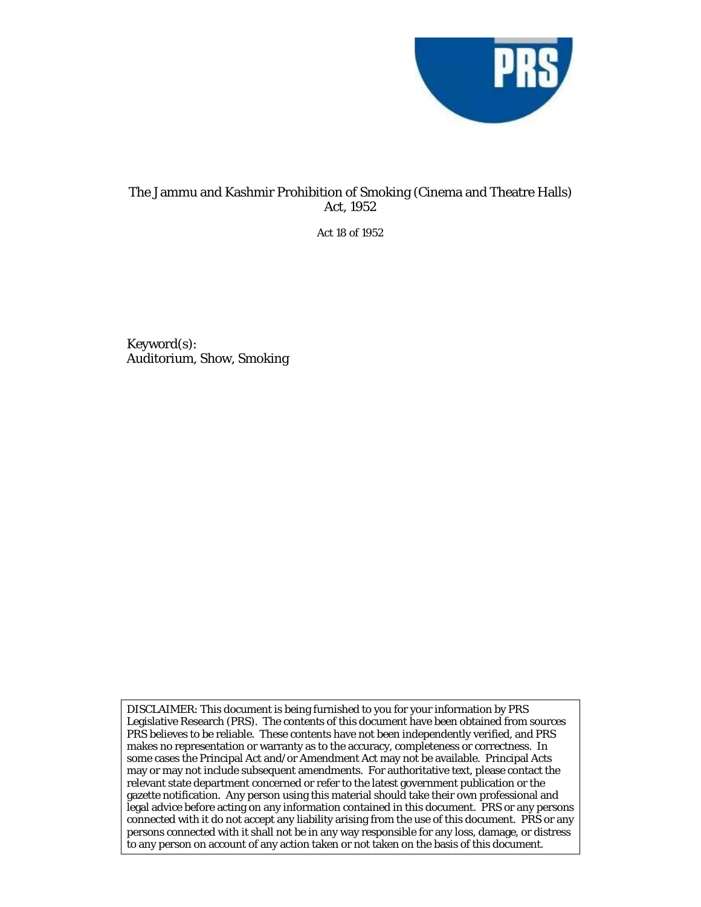

# The Jammu and Kashmir Prohibition of Smoking (Cinema and Theatre Halls) Act, 1952

Act 18 of 1952

Keyword(s): Auditorium, Show, Smoking

DISCLAIMER: This document is being furnished to you for your information by PRS Legislative Research (PRS). The contents of this document have been obtained from sources PRS believes to be reliable. These contents have not been independently verified, and PRS makes no representation or warranty as to the accuracy, completeness or correctness. In some cases the Principal Act and/or Amendment Act may not be available. Principal Acts may or may not include subsequent amendments. For authoritative text, please contact the relevant state department concerned or refer to the latest government publication or the gazette notification. Any person using this material should take their own professional and legal advice before acting on any information contained in this document. PRS or any persons connected with it do not accept any liability arising from the use of this document. PRS or any persons connected with it shall not be in any way responsible for any loss, damage, or distress to any person on account of any action taken or not taken on the basis of this document.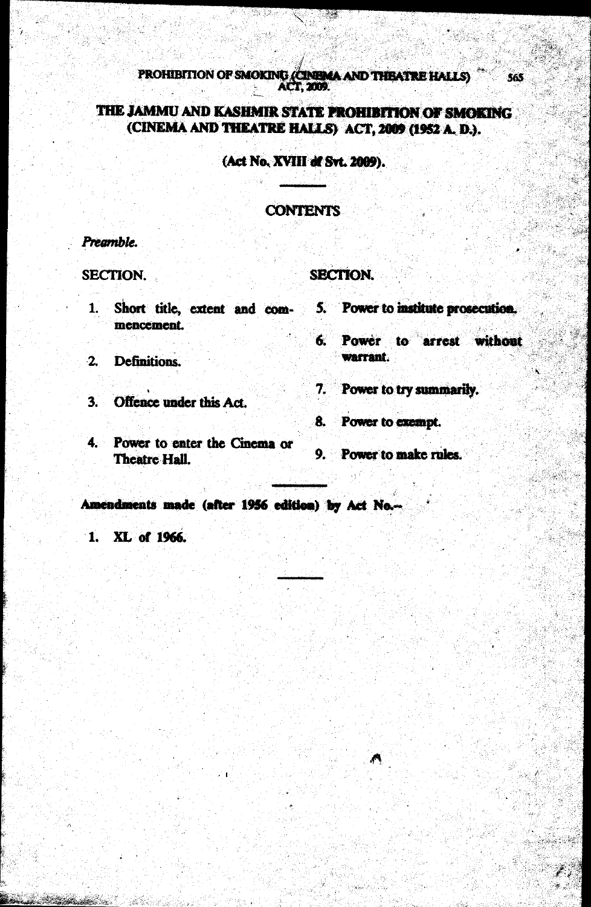PROHIBITION OF SMOKING (CINEMA AND THEATRE HALLS) 565 T 2009.

# THE JAMMU AND KASHMIR STATE PROHIBITION OF SMOKING (CINEMA AND THEATRE HALLS) ACT, 2009 (1952 A. D.).

## (Act No. XVIII of Svt. 2009).

### **CONTENTS**

#### Preamble.

**SECTION.** 

### **SECTION.**

- $1.$ mencement.
- $\overline{2}$ **Definitions.**
- $3.$ Offence under this Act.
- $4.$ Power to enter the Cinema or **Theatre Hall.**
- Short title, extent and com- 5. Power to institute prosecution.
	- 6. Power to arrest without warrant.
	- 7. Power to try summarily.
	- 8. Power to exempt.
	- 9. Power to make rules.

Amendments made (after 1956 edition) by Act No.-

1. XL of 1966.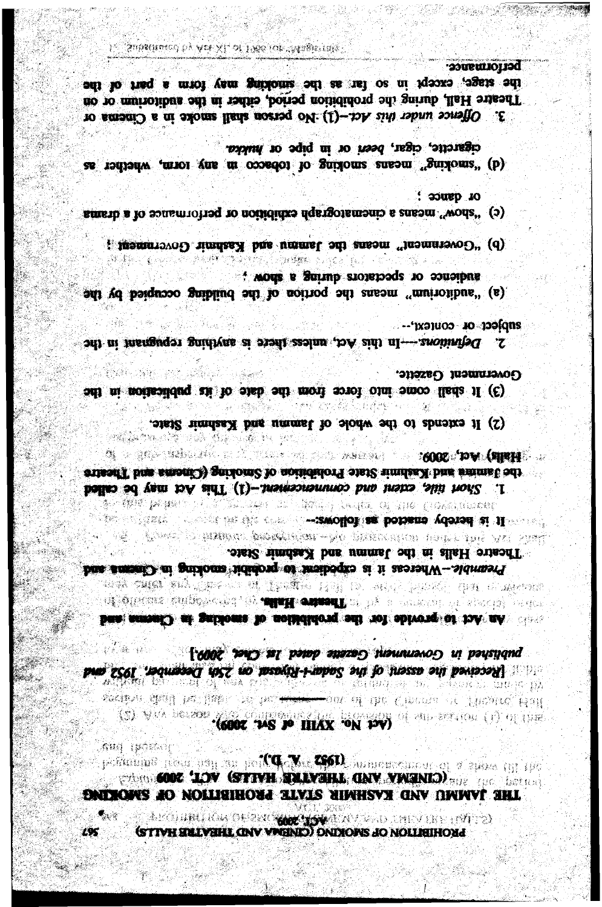A POLINI KWOŁOWO **WAZYM**A KVIZIO TALY HO TOJ 2 Mari C  $L95$ STIVH EMLVAHL GNV VWHND) DNIXOFIS JO NOLLIAIHOMJ

់នុងរឿ (អ្នកុំដទៃខ្យ permains near pay on perty W. COLouisencement of a more try 190 **CONC. LOV (STIVH SMAYSHA GNV VWENIO)** THE LOCALITY DNIMOWS AO NOLLIGIHOUA ALVIS NIWHSVN GNV OWWVT SHL

published in Government Gazette dated let Chec, 2009.] and *ECCI* indicated the associated the Sacare of Designed and a security and and 36 GRQUE IV. PANKE IN A section that has law a believe you of the Circuit of Plastre, Hall (S) With became the court of HIAX FOR DWD of an arrive (i) of the

AN THE ALLEGE OF LEAD IN DURING THE CONTROL OF A CHAPTER **OF ALLEGER AND CONTRACT OF THE SUMMER COULD BE A TELEVISION OF ALL ASSOCIATES** ban amout.) at gathoms to noisididorq and not obtrong or toA nA.

**The second construction of the policies of the second of the second state of the second state of the second st** Pasi o kalenia katakatikan - 140 dana ang mga 140 - 141 - 1421 Theatre Halls in the Jammu and Kashmir State. Premble-Meercas it is expected to probabilities and Channa and

集 计复编号键数字输入设立 - 「 A REAL A REAL A REAL AND A REAL ARREAL AREAL A REAL ARREAL A REAL ARREAL A R cusaff bas smont.) garioni? to nomenori once (Cinear and Theatre 1. Short title, extent and commencement (1) This Act may be called **A WE PHOTO CONTACT STANCT TO THE CONTINUAL** 

(2) It extends to the whole of Jammu and Kashmi State.

Government Gazette. 해변력 사람은 분위 공격을 보  $\label{eq:1} \mathcal{A}^{\text{in}}_{\text{in}}(\mathcal{H}^{\text{out}}_{\text{out}})$ (3) It shall come into force from the date of its publication in the

 $\cdots$ pace or context  $\cdots$ 2. Definitions.---In this Act, antess there is anything repugnant in the

audience or spectators during a show. (a) "autiorium" means the portion of the building occupied by the

(b) "Government" means the Jamms and Kashmir Government ;

- $\therefore$  assume  $\therefore$ smerb a lo sansmiotraq to notididize dqstgotsmania s ensam "wods" (c)
- cigarette, cigar, been or in pipe or hudda. as reaching" means smoking of tobacco in any torm, whether as

performance. the stage, except in so far as the smoking may form a part of the Theatre Hall, during the prohibition period, either in the auditorium or on 3. Offence under this Act-(1) No person shall smoke in a Cinema or

Magamasin wa matu ya wa